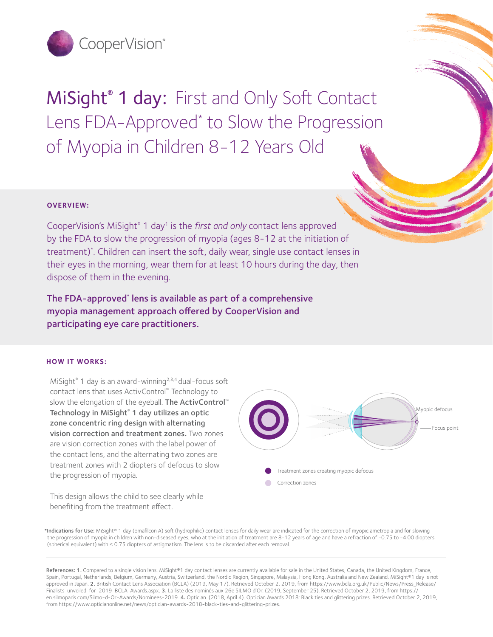

MiSight<sup>®</sup> 1 day: First and Only Soft Contact Lens FDA-Approved<sup>\*</sup> to Slow the Progression of Myopia in Children 8-12 Years Old

### **OVERVIEW:**

CooperVision's MiSight® 1 day1 is the *first and only* contact lens approved by the FDA to slow the progression of myopia (ages 8-12 at the initiation of treatment)\* . Children can insert the soft, daily wear, single use contact lenses in their eyes in the morning, wear them for at least 10 hours during the day, then dispose of them in the evening.

The FDA-approved\* lens is available as part of a comprehensive myopia management approach offered by CooperVision and participating eye care practitioners.

#### **HOW IT WORKS:**

MiSight<sup>®</sup> 1 day is an award-winning<sup>2,3,4</sup> dual-focus soft contact lens that uses ActivControl™ Technology to slow the elongation of the eyeball. The ActivControl™ Technology in MiSight® 1 day utilizes an optic zone concentric ring design with alternating vision correction and treatment zones. Two zones are vision correction zones with the label power of the contact lens, and the alternating two zones are treatment zones with 2 diopters of defocus to slow the progression of myopia.

Focus point Myopic defocus Treatment zones creating myopic defocus Correction zones

This design allows the child to see clearly while benefiting from the treatment effect.

\*Indications for Use: MiSight® 1 day (omafilcon A) soft (hydrophilic) contact lenses for daily wear are indicated for the correction of myopic ametropia and for slowing the progression of myopia in children with non-diseased eyes, who at the initiation of treatment are 8-12 years of age and have a refraction of -0.75 to -4.00 diopters (spherical equivalent) with ≤ 0.75 diopters of astigmatism. The lens is to be discarded after each removal.

References: 1. Compared to a single vision lens. MiSight®1 day contact lenses are currently available for sale in the United States, Canada, the United Kingdom, France, Spain, Portugal, Netherlands, Belgium, Germany, Austria, Switzerland, the Nordic Region, Singapore, Malaysia, Hong Kong, Australia and New Zealand. MiSight®1 day is not approved in Japan. 2. British Contact Lens Association (BCLA) (2019, May 17). Retrieved October 2, 2019, from https://www.bcla.org.uk/Public/News/Press\_Release/ Finalists-unveiled-for-2019-BCLA-Awards.aspx. 3. La liste des nominés aux 26e SILMO d'Or. (2019, September 25). Retrieved October 2, 2019, from https:// en.silmoparis.com/Silmo-d-Or-Awards/Nominees-2019. 4. Optician. (2018, April 4). Optician Awards 2018: Black ties and glittering prizes. Retrieved October 2, 2019, from https://www.opticianonline.net/news/optician-awards-2018-black-ties-and-glittering-prizes.